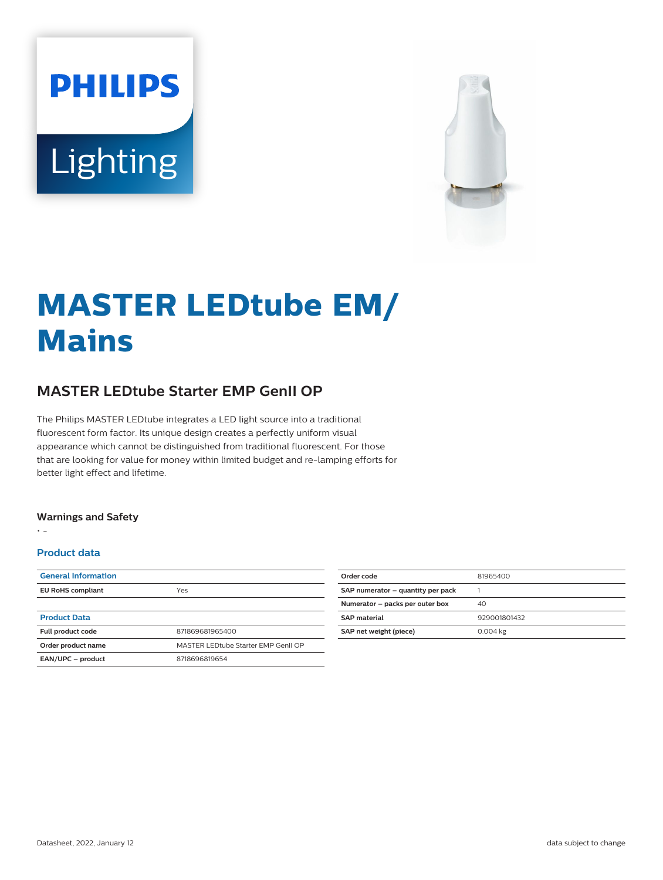# **PHILIPS** Lighting



## **MASTER LEDtube EM/ Mains**

### **MASTER LEDtube Starter EMP GenII OP**

The Philips MASTER LEDtube integrates a LED light source into a traditional fluorescent form factor. Its unique design creates a perfectly uniform visual appearance which cannot be distinguished from traditional fluorescent. For those that are looking for value for money within limited budget and re-lamping efforts for better light effect and lifetime.

#### **Warnings and Safety**

• -

#### **Product data**

| <b>General Information</b> |                                    |
|----------------------------|------------------------------------|
| <b>EU RoHS compliant</b>   | Yes                                |
|                            |                                    |
| <b>Product Data</b>        |                                    |
| <b>Full product code</b>   | 871869681965400                    |
| Order product name         | MASTER LEDtube Starter EMP GenILOP |
| EAN/UPC - product          | 8718696819654                      |

| Order code                        | 81965400     |
|-----------------------------------|--------------|
| SAP numerator - quantity per pack |              |
| Numerator - packs per outer box   | 40           |
| <b>SAP material</b>               | 929001801432 |
| SAP net weight (piece)            | 0.004 kg     |
|                                   |              |